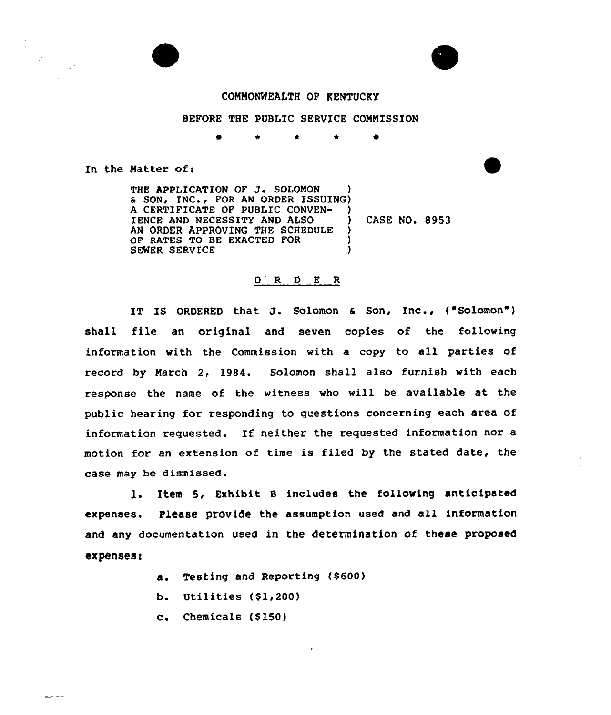



## COMMONWEALTH OF KENTUCKY

## BEFORE THE PUBLIC SERVICE COMMISSION

In the Matter of:

THE APPLICATION OF J. SOLOMON & SON, INC., FOR AN ORDER ISSUING) A CERTIFICATE OF PUBLIC CONVEN- ) IENCE AND NECESSITY AND ALSO  $\mathcal{L}$ AN ORDER APPROVING THE SCHEDULE  $\rightarrow$ OF RATES TO BE EXACTED FOR  $\lambda$  $\lambda$ SEWER SERVICE

CASE NO. 8953

## $\begin{array}{ccccccccc}\nO & R & D & E & R\n\end{array}$

IT IS ORDERED that J. Solomon & Son, Inc., ("Solomon") shall file an original and seven copies of the following information with the Commission with a copy to all parties of record by March 2, 1984. Solomon shall also furnish with each response the name of the witness who will be available at the public hearing for responding to questions concerning each area of information requested. If neither the requested information nor a motion for an extension of time is filed by the stated date, the case may be dismissed.

1. Item 5, Exhibit B includes the following anticipated expenses. Please provide the assumption used and all information and any documentation used in the determination of these proposed expenses:

- a. Testing and Reporting (\$600)
- b. Utilities  $(\$1, 200)$
- c. Chemicals (\$150)